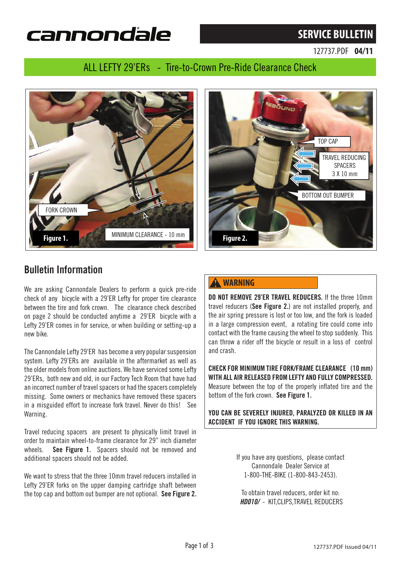# cannondale

#### **SERVICE BULLETIN**

127737.PDF **04/11** 

## ALL LEFTY 29'ERs - Tire-to-Crown Pre-Ride Clearance Check





## **Bulletin Information**

We are asking Cannondale Dealers to perform a quick pre-ride check of any bicycle with a 29'ER Lefty for proper tire clearance between the tire and fork crown. The clearance check described on page 2 should be conducted anytime a 29'ER bicycle with a Lefty 29'ER comes in for service, or when building or setting-up a new bike.

The Cannondale Lefty 29'ER has become a very popular suspension system. Lefty 29'ERs are available in the aftermarket as well as the older models from online auctions. We have serviced some Lefty 29'ERs, both new and old, in our Factory Tech Room that have had an incorrect number of travel spacers or had the spacers completely missing. Some owners or mechanics have removed these spacers in a misguided effort to increase fork travel. Never do this! See Warning.

Travel reducing spacers are present to physically limit travel in order to maintain wheel-to-frame clearance for 29" inch diameter wheels. **See Figure 1.** Spacers should not be removed and additional spacers should not be added.

We want to stress that the three 10mm travel reducers installed in Lefty 29'ER forks on the upper damping cartridge shaft between the top cap and bottom out bumper are not optional. **See Figure 2.**

#### **WARNING**

**DO NOT REMOVE 29'ER TRAVEL REDUCERS.** If the three 10mm travel reducers (**See Figure 2.**) are not installed properly, and the air spring pressure is lost or too low, and the fork is loaded in a large compression event, a rotating tire could come into contact with the frame causing the wheel to stop suddenly. This can throw a rider off the bicycle or result in a loss of control and crash.

**CHECK FOR MINIMUM TIRE FORK/FRAME CLEARANCE (10 mm) WITH ALL AIR RELEASED FROM LEFTY AND FULLY COMPRESSED.** Measure between the top of the properly inflated tire and the bottom of the fork crown. **See Figure 1.**

**YOU CAN BE SEVERELY INJURED, PARALYZED OR KILLED IN AN ACCIDENT IF YOU IGNORE THIS WARNING.** 

> If you have any questions, please contact Cannondale Dealer Service at 1-800-THE-BIKE (1-800-843-2453).

To obtain travel reducers, order kit no: *HD010/* - KIT,CLIPS,TRAVEL REDUCERS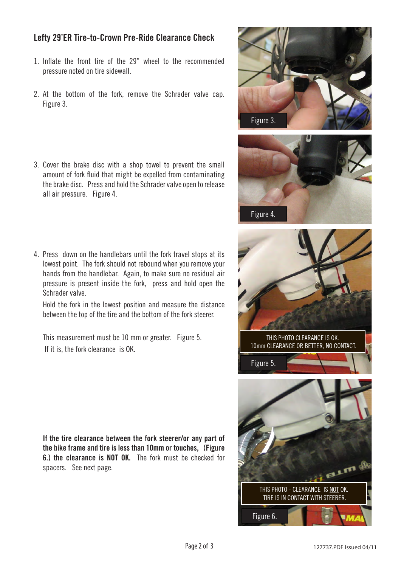## **Lefty 29'ER Tire-to-Crown Pre-Ride Clearance Check**

- 1. Inflate the front tire of the 29" wheel to the recommended pressure noted on tire sidewall.
- 2. At the bottom of the fork, remove the Schrader valve cap. Figure 3.
- 3. Cover the brake disc with a shop towel to prevent the small amount of fork fluid that might be expelled from contaminating the brake disc. Press and hold the Schrader valve open to release all air pressure. Figure 4.
- 4. Press down on the handlebars until the fork travel stops at its lowest point. The fork should not rebound when you remove your hands from the handlebar. Again, to make sure no residual air pressure is present inside the fork, press and hold open the Schrader valve.

Hold the fork in the lowest position and measure the distance between the top of the tire and the bottom of the fork steerer.

This measurement must be 10 mm or greater. Figure 5. If it is, the fork clearance is OK.

**If the tire clearance between the fork steerer/or any part of the bike frame and tire is less than 10mm or touches, (Figure 6.) the clearance is NOT OK.** The fork must be checked for spacers. See next page.







Figure 5.